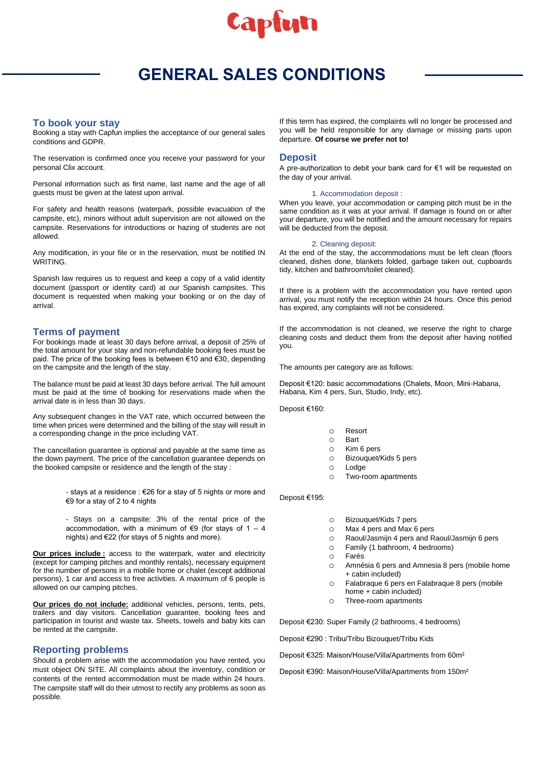

# **GENERAL SALES CONDITIONS**

### **To book your stay**

Booking a stay with Capfun implies the acceptance of our general sales conditions and GDPR.

The reservation is confirmed once you receive your password for your personal Clix account.

Personal information such as first name, last name and the age of all guests must be given at the latest upon arrival.

For safety and health reasons (waterpark, possible evacuation of the campsite, etc), minors without adult supervision are not allowed on the campsite. Reservations for introductions or hazing of students are not allowed.

Any modification, in your file or in the reservation, must be notified IN WRITING.

Spanish law requires us to request and keep a copy of a valid identity document (passport or identity card) at our Spanish campsites. This document is requested when making your booking or on the day of arrival.

### **Terms of payment**

For bookings made at least 30 days before arrival, a deposit of 25% of the total amount for your stay and non-refundable booking fees must be paid. The price of the booking fees is between €10 and €30, depending on the campsite and the length of the stay.

The balance must be paid at least 30 days before arrival. The full amount must be paid at the time of booking for reservations made when the arrival date is in less than 30 days.

Any subsequent changes in the VAT rate, which occurred between the time when prices were determined and the billing of the stay will result in a corresponding change in the price including VAT.

The cancellation guarantee is optional and payable at the same time as the down payment. The price of the cancellation guarantee depends on the booked campsite or residence and the length of the stay :

> - stays at a residence : €26 for a stay of 5 nights or more and €9 for a stay of 2 to 4 nights

> - Stays on a campsite: 3% of the rental price of the accommodation, with a minimum of  $\epsilon$ 9 (for stavs of 1 – 4 nights) and €22 (for stays of 5 nights and more).

**Our prices include:** access to the waterpark, water and electricity (except for camping pitches and monthly rentals), necessary equipment for the number of persons in a mobile home or chalet (except additional persons), 1 car and access to free activities. A maximum of 6 people is allowed on our camping pitches.

**Our prices do not include:** additional vehicles, persons, tents, pets, trailers and day visitors. Cancellation guarantee, booking fees and participation in tourist and waste tax. Sheets, towels and baby kits can be rented at the campsite.

### **Reporting problems**

Should a problem arise with the accommodation you have rented, you must object ON SITE. All complaints about the inventory, condition or contents of the rented accommodation must be made within 24 hours. The campsite staff will do their utmost to rectify any problems as soon as possible.

If this term has expired, the complaints will no longer be processed and you will be held responsible for any damage or missing parts upon departure. **Of course we prefer not to!**

### **Deposit**

A pre-authorization to debit your bank card for €1 will be requested on the day of your arrival.

#### 1. Accommodation deposit :

When you leave, your accommodation or camping pitch must be in the same condition as it was at your arrival. If damage is found on or after your departure, you will be notified and the amount necessary for repairs will be deducted from the deposit.

#### 2. Cleaning deposit:

At the end of the stay, the accommodations must be left clean (floors cleaned, dishes done, blankets folded, garbage taken out, cupboards tidy, kitchen and bathroom/toilet cleaned).

If there is a problem with the accommodation you have rented upon arrival, you must notify the reception within 24 hours. Once this period has expired, any complaints will not be considered.

If the accommodation is not cleaned, we reserve the right to charge cleaning costs and deduct them from the deposit after having notified you.

The amounts per category are as follows:

Deposit €120: basic accommodations (Chalets, Moon, Mini-Habana, Habana, Kim 4 pers, Sun, Studio, Indy, etc).

Deposit €160:

- o Resort
- o Bart
- o Kim 6 pers
- o Bizouquet/Kids 5 pers
- o Lodge
- o Two-room apartments

Deposit €195:

- o Bizouquet/Kids 7 pers
- o Max 4 pers and Max 6 pers
- o Raoul/Jasmijn 4 pers and Raoul/Jasmijn 6 pers
- o Family (1 bathroom, 4 bedrooms)
- o Farés
- o Amnésia 6 pers and Amnesia 8 pers (mobile home + cabin included)
- o Falabraque 6 pers en Falabraque 8 pers (mobile home + cabin included)
- o Three-room apartments

Deposit €230: Super Family (2 bathrooms, 4 bedrooms)

Deposit €290 : Tribu/Tribu Bizouquet/Tribu Kids

Deposit €325: Maison/House/Villa/Apartments from 60m²

Deposit €390: Maison/House/Villa/Apartments from 150m²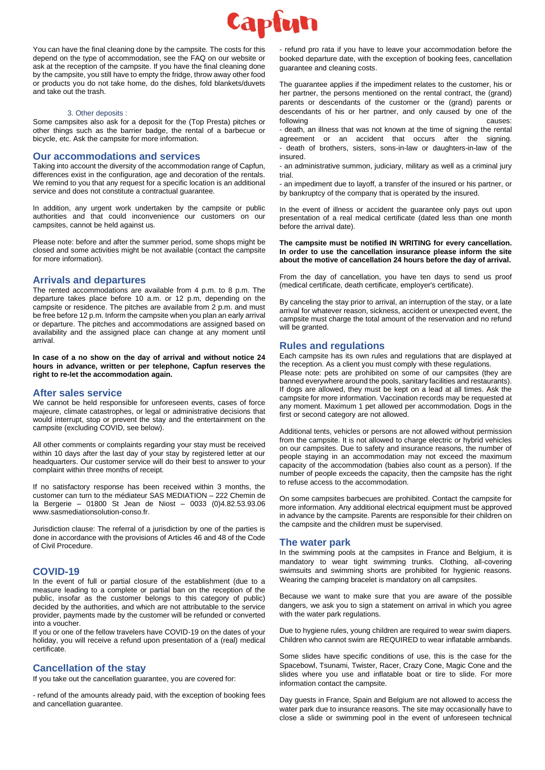

You can have the final cleaning done by the campsite. The costs for this depend on the type of accommodation, see the FAQ on our website or ask at the reception of the campsite. If you have the final cleaning done by the campsite, you still have to empty the fridge, throw away other food or products you do not take home, do the dishes, fold blankets/duvets and take out the trash.

#### 3. Other deposits :

Some campsites also ask for a deposit for the (Top Presta) pitches or other things such as the barrier badge, the rental of a barbecue or bicycle, etc. Ask the campsite for more information.

#### **Our accommodations and services**

Taking into account the diversity of the accommodation range of Capfun, differences exist in the configuration, age and decoration of the rentals. We remind to you that any request for a specific location is an additional service and does not constitute a contractual guarantee.

In addition, any urgent work undertaken by the campsite or public authorities and that could inconvenience our customers on our campsites, cannot be held against us.

Please note: before and after the summer period, some shops might be closed and some activities might be not available (contact the campsite for more information).

#### **Arrivals and departures**

The rented accommodations are available from 4 p.m. to 8 p.m. The departure takes place before 10 a.m. or 12 p.m, depending on the campsite or residence. The pitches are available from 2 p.m. and must be free before 12 p.m. Inform the campsite when you plan an early arrival or departure. The pitches and accommodations are assigned based on availability and the assigned place can change at any moment until arrival.

**In case of a no show on the day of arrival and without notice 24 hours in advance, written or per telephone, Capfun reserves the right to re-let the accommodation again.**

#### **After sales service**

We cannot be held responsible for unforeseen events, cases of force majeure, climate catastrophes, or legal or administrative decisions that would interrupt, stop or prevent the stay and the entertainment on the campsite (excluding COVID, see below).

All other comments or complaints regarding your stay must be received within 10 days after the last day of your stay by registered letter at our headquarters. Our customer service will do their best to answer to your complaint within three months of receipt.

If no satisfactory response has been received within 3 months, the customer can turn to the médiateur SAS MEDIATION – 222 Chemin de la Bergerie – 01800 St Jean de Niost – 0033 (0)4.82.53.93.06 [www.sasmediationsolution-conso.fr.](http://www.sasmediationsolution-conso.fr/)

Jurisdiction clause: The referral of a jurisdiction by one of the parties is done in accordance with the provisions of Articles 46 and 48 of the Code of Civil Procedure.

#### **COVID-19**

In the event of full or partial closure of the establishment (due to a measure leading to a complete or partial ban on the reception of the public, insofar as the customer belongs to this category of public) decided by the authorities, and which are not attributable to the service provider, payments made by the customer will be refunded or converted into a voucher.

If you or one of the fellow travelers have COVID-19 on the dates of your holiday, you will receive a refund upon presentation of a (real) medical certificate.

### **Cancellation of the stay**

If you take out the cancellation guarantee, you are covered for:

- refund of the amounts already paid, with the exception of booking fees and cancellation guarantee.

- refund pro rata if you have to leave your accommodation before the booked departure date, with the exception of booking fees, cancellation guarantee and cleaning costs.

The guarantee applies if the impediment relates to the customer, his or her partner, the persons mentioned on the rental contract, the (grand) parents or descendants of the customer or the (grand) parents or descendants of his or her partner, and only caused by one of the following causes:

- death, an illness that was not known at the time of signing the rental agreement or an accident that occurs after the signing. - death of brothers, sisters, sons-in-law or daughters-in-law of the insured.

- an administrative summon, judiciary, military as well as a criminal jury trial.

- an impediment due to layoff, a transfer of the insured or his partner, or by bankruptcy of the company that is operated by the insured.

In the event of illness or accident the guarantee only pays out upon presentation of a real medical certificate (dated less than one month before the arrival date).

#### **The campsite must be notified IN WRITING for every cancellation. In order to use the cancellation insurance please inform the site about the motive of cancellation 24 hours before the day of arrival.**

From the day of cancellation, you have ten days to send us proof (medical certificate, death certificate, employer's certificate).

By canceling the stay prior to arrival, an interruption of the stay, or a late arrival for whatever reason, sickness, accident or unexpected event, the campsite must charge the total amount of the reservation and no refund will be granted.

### **Rules and regulations**

Each campsite has its own rules and regulations that are displayed at the reception. As a client you must comply with these regulations.

Please note: pets are prohibited on some of our campsites (they are banned everywhere around the pools, sanitary facilities and restaurants). If dogs are allowed, they must be kept on a lead at all times. Ask the campsite for more information. Vaccination records may be requested at any moment. Maximum 1 pet allowed per accommodation. Dogs in the first or second category are not allowed.

Additional tents, vehicles or persons are not allowed without permission from the campsite. It is not allowed to charge electric or hybrid vehicles on our campsites. Due to safety and insurance reasons, the number of people staying in an accommodation may not exceed the maximum capacity of the accommodation (babies also count as a person). If the number of people exceeds the capacity, then the campsite has the right to refuse access to the accommodation.

On some campsites barbecues are prohibited. Contact the campsite for more information. Any additional electrical equipment must be approved in advance by the campsite. Parents are responsible for their children on the campsite and the children must be supervised.

### **The water park**

In the swimming pools at the campsites in France and Belgium, it is mandatory to wear tight swimming trunks. Clothing, all-covering swimsuits and swimming shorts are prohibited for hygienic reasons. Wearing the camping bracelet is mandatory on all campsites.

Because we want to make sure that you are aware of the possible dangers, we ask you to sign a statement on arrival in which you agree with the water park regulations.

Due to hygiene rules, young children are required to wear swim diapers. Children who cannot swim are REQUIRED to wear inflatable armbands.

Some slides have specific conditions of use, this is the case for the Spacebowl, Tsunami, Twister, Racer, Crazy Cone, Magic Cone and the slides where you use and inflatable boat or tire to slide. For more information contact the campsite.

Day guests in France, Spain and Belgium are not allowed to access the water park due to insurance reasons. The site may occasionally have to close a slide or swimming pool in the event of unforeseen technical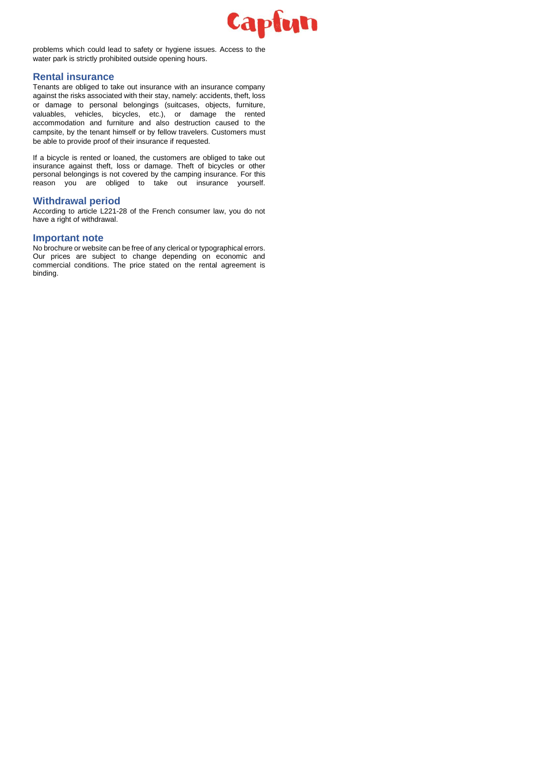

problems which could lead to safety or hygiene issues. Access to the water park is strictly prohibited outside opening hours.

### **Rental insurance**

Tenants are obliged to take out insurance with an insurance company against the risks associated with their stay, namely: accidents, theft, loss or damage to personal belongings (suitcases, objects, furniture, valuables, vehicles, bicycles, etc.), or damage the rented accommodation and furniture and also destruction caused to the campsite, by the tenant himself or by fellow travelers. Customers must be able to provide proof of their insurance if requested.

If a bicycle is rented or loaned, the customers are obliged to take out insurance against theft, loss or damage. Theft of bicycles or other personal belongings is not covered by the camping insurance. For this reason you are obliged to take out insurance yourself.

### **Withdrawal period**

According to article L221-28 of the French consumer law, you do not have a right of withdrawal.

### **Important note**

No brochure or website can be free of any clerical or typographical errors. Our prices are subject to change depending on economic and commercial conditions. The price stated on the rental agreement is binding.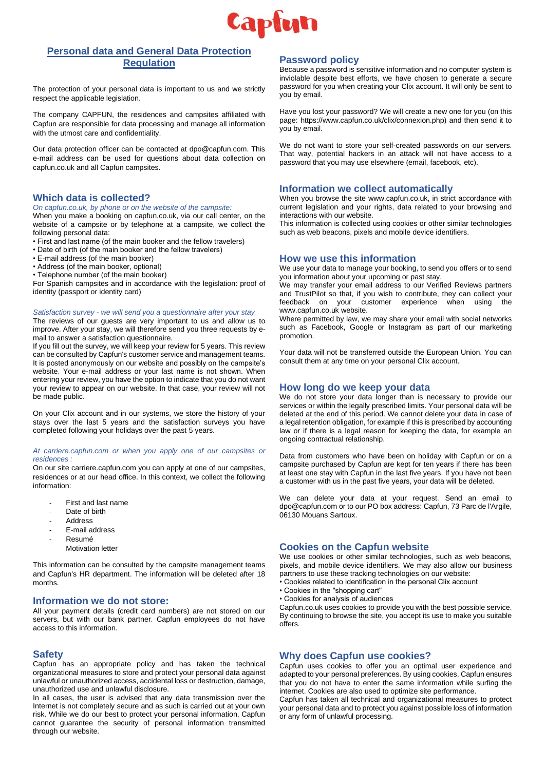

# **Personal data and General Data Protection Regulation**

The protection of your personal data is important to us and we strictly respect the applicable legislation.

The company CAPFUN, the residences and campsites affiliated with Capfun are responsible for data processing and manage all information with the utmost care and confidentiality.

Our data protection officer can be contacted at dpo@capfun.com. This e-mail address can be used for questions about data collection on capfun.co.uk and all Capfun campsites.

### **Which data is collected?**

#### *On capfun.co.uk, by phone or on the website of the campsite:*

When you make a booking on capfun.co.uk, via our call center, on the website of a campsite or by telephone at a campsite, we collect the following personal data:

- First and last name (of the main booker and the fellow travelers)
- Date of birth (of the main booker and the fellow travelers)
- E-mail address (of the main booker)
- Address (of the main booker, optional)
- Telephone number (of the main booker)

For Spanish campsites and in accordance with the legislation: proof of identity (passport or identity card)

#### *Satisfaction survey - we will send you a questionnaire after your stay*

The reviews of our guests are very important to us and allow us to improve. After your stay, we will therefore send you three requests by email to answer a satisfaction questionnaire.

If you fill out the survey, we will keep your review for 5 years. This review can be consulted by Capfun's customer service and management teams. It is posted anonymously on our website and possibly on the campsite's website. Your e-mail address or your last name is not shown. When entering your review, you have the option to indicate that you do not want your review to appear on our website. In that case, your review will not be made public.

On your Clix account and in our systems, we store the history of your stays over the last 5 years and the satisfaction surveys you have completed following your holidays over the past 5 years.

#### *At carriere.capfun.com or when you apply one of our campsites or residences :*

On our site carriere.capfun.com you can apply at one of our campsites, residences or at our head office. In this context, we collect the following information:

- First and last name
- *-* Date of birth
- *-* Address
- *-* E-mail address
- *-* Resumé
- *-* Motivation letter

This information can be consulted by the campsite management teams and Capfun's HR department. The information will be deleted after 18 months.

### **Information we do not store:**

All your payment details (credit card numbers) are not stored on our servers, but with our bank partner. Capfun employees do not have access to this information.

### **Safety**

Capfun has an appropriate policy and has taken the technical organizational measures to store and protect your personal data against unlawful or unauthorized access, accidental loss or destruction, damage, unauthorized use and unlawful disclosure.

In all cases, the user is advised that any data transmission over the Internet is not completely secure and as such is carried out at your own risk. While we do our best to protect your personal information, Capfun cannot guarantee the security of personal information transmitted through our website.

### **Password policy**

Because a password is sensitive information and no computer system is inviolable despite best efforts, we have chosen to generate a secure password for you when creating your Clix account. It will only be sent to you by email.

Have you lost your password? We will create a new one for you (on this page: https://www.capfun.co.uk/clix/connexion.php) and then send it to you by email.

We do not want to store your self-created passwords on our servers. That way, potential hackers in an attack will not have access to a password that you may use elsewhere (email, facebook, etc).

### **Information we collect automatically**

When you browse the site www.capfun.co.uk, in strict accordance with current legislation and your rights, data related to your browsing and interactions with our website.

This information is collected using cookies or other similar technologies such as web beacons, pixels and mobile device identifiers.

#### **How we use this information**

We use your data to manage your booking, to send you offers or to send you information about your upcoming or past stay.

We may transfer your email address to our Verified Reviews partners and TrustPilot so that, if you wish to contribute, they can collect your feedback on your customer experience when using the www.capfun.co.uk website.

Where permitted by law, we may share your email with social networks such as Facebook, Google or Instagram as part of our marketing promotion.

Your data will not be transferred outside the European Union. You can consult them at any time on your personal Clix account.

### **How long do we keep your data**

We do not store your data longer than is necessary to provide our services or within the legally prescribed limits. Your personal data will be deleted at the end of this period. We cannot delete your data in case of a legal retention obligation, for example if this is prescribed by accounting law or if there is a legal reason for keeping the data, for example an ongoing contractual relationship.

Data from customers who have been on holiday with Capfun or on a campsite purchased by Capfun are kept for ten years if there has been at least one stay with Capfun in the last five years. If you have not been a customer with us in the past five years, your data will be deleted.

We can delete your data at your request. Send an email to dpo@capfun.com or to our PO box address: Capfun, 73 Parc de l'Argile, 06130 Mouans Sartoux.

### **Cookies on the Capfun website**

We use cookies or other similar technologies, such as web beacons, pixels, and mobile device identifiers. We may also allow our business partners to use these tracking technologies on our website:

- Cookies related to identification in the personal Clix account
- Cookies in the "shopping cart"
- Cookies for analysis of audiences

Capfun.co.uk uses cookies to provide you with the best possible service. By continuing to browse the site, you accept its use to make you suitable offers.

### **Why does Capfun use cookies?**

Capfun uses cookies to offer you an optimal user experience and adapted to your personal preferences. By using cookies, Capfun ensures that you do not have to enter the same information while surfing the internet. Cookies are also used to optimize site performance.

Capfun has taken all technical and organizational measures to protect your personal data and to protect you against possible loss of information or any form of unlawful processing.